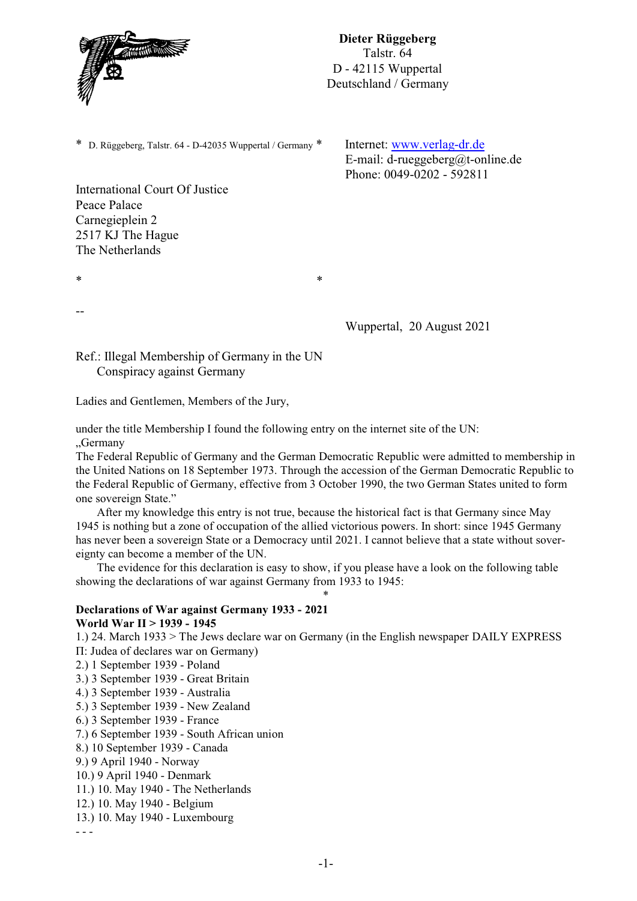

\* D. Rüggeberg, Talstr. 64 - D-42035 Wuppertal / Germany \* Internet: [www.verlag-dr.de](http://www.verlag-dr.de)

E-mail: d-rueggeberg@t-online.de Phone: 0049-0202 - 592811

International Court Of Justice Peace Palace Carnegieplein 2 2517 KJ The Hague The Netherlands

 $*$ 

--

Wuppertal, 20 August 2021

Ref.: Illegal Membership of Germany in the UN Conspiracy against Germany

Ladies and Gentlemen, Members of the Jury,

under the title Membership I found the following entry on the internet site of the UN: "Germany

The Federal Republic of Germany and the German Democratic Republic were admitted to membership in the United Nations on 18 September 1973. Through the accession of the German Democratic Republic to the Federal Republic of Germany, effective from 3 October 1990, the two German States united to form one sovereign State."

After my knowledge this entry is not true, because the historical fact is that Germany since May 1945 is nothing but a zone of occupation of the allied victorious powers. In short: since 1945 Germany has never been a sovereign State or a Democracy until 2021. I cannot believe that a state without sovereignty can become a member of the UN.

The evidence for this declaration is easy to show, if you please have a look on the following table showing the declarations of war against Germany from 1933 to 1945:

\*

## **Declarations of War against Germany 1933 - 2021 World War II > 1939 - 1945**

1.) 24. March 1933 > The Jews declare war on Germany (in the English newspaper DAILY EXPRESS

II: Judea of declares war on Germany)

- 2.) 1 September 1939 Poland
- 3.) 3 September 1939 Great Britain
- 4.) 3 September 1939 Australia
- 5.) 3 September 1939 New Zealand
- 6.) 3 September 1939 France
- 7.) 6 September 1939 South African union
- 8.) 10 September 1939 Canada
- 9.) 9 April 1940 Norway
- 10.) 9 April 1940 Denmark
- 11.) 10. May 1940 The Netherlands
- 12.) 10. May 1940 Belgium
- 13.) 10. May 1940 Luxembourg

- - -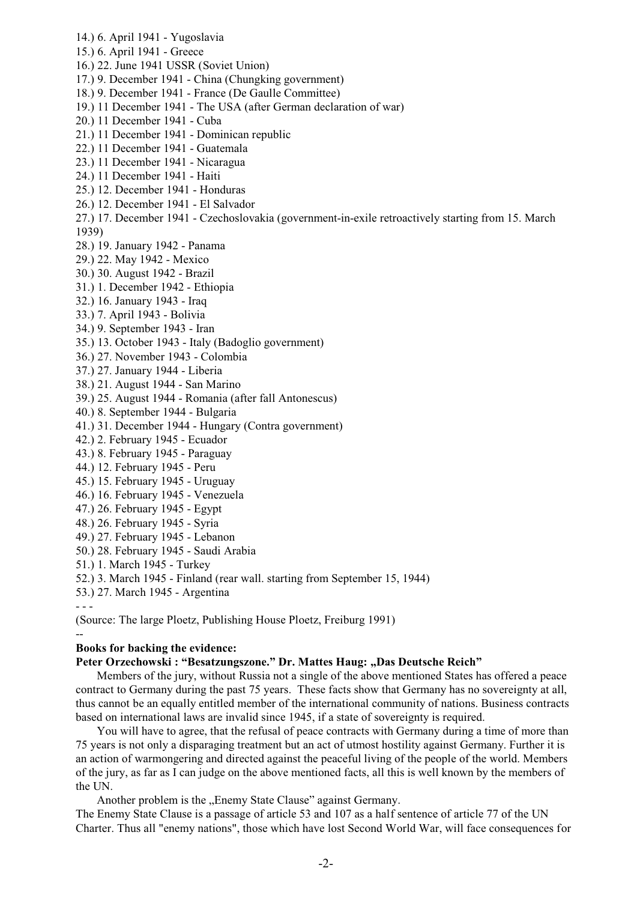- 14.) 6. April 1941 Yugoslavia
- 15.) 6. April 1941 Greece
- 16.) 22. June 1941 USSR (Soviet Union)
- 17.) 9. December 1941 China (Chungking government)
- 18.) 9. December 1941 France (De Gaulle Committee)
- 19.) 11 December 1941 The USA (after German declaration of war)
- 20.) 11 December 1941 Cuba
- 21.) 11 December 1941 Dominican republic
- 22.) 11 December 1941 Guatemala
- 23.) 11 December 1941 Nicaragua
- 24.) 11 December 1941 Haiti
- 25.) 12. December 1941 Honduras
- 26.) 12. December 1941 El Salvador
- 27.) 17. December 1941 Czechoslovakia (government-in-exile retroactively starting from 15. March 1939)
- 28.) 19. January 1942 Panama
- 29.) 22. May 1942 Mexico
- 30.) 30. August 1942 Brazil
- 31.) 1. December 1942 Ethiopia
- 32.) 16. January 1943 Iraq
- 33.) 7. April 1943 Bolivia
- 34.) 9. September 1943 Iran
- 35.) 13. October 1943 Italy (Badoglio government)
- 36.) 27. November 1943 Colombia
- 37.) 27. January 1944 Liberia
- 38.) 21. August 1944 San Marino
- 39.) 25. August 1944 Romania (after fall Antonescus)
- 40.) 8. September 1944 Bulgaria
- 41.) 31. December 1944 Hungary (Contra government)
- 42.) 2. February 1945 Ecuador
- 43.) 8. February 1945 Paraguay
- 44.) 12. February 1945 Peru
- 45.) 15. February 1945 Uruguay
- 46.) 16. February 1945 Venezuela
- 47.) 26. February 1945 Egypt
- 48.) 26. February 1945 Syria
- 49.) 27. February 1945 Lebanon
- 50.) 28. February 1945 Saudi Arabia
- 51.) 1. March 1945 Turkey
- 52.) 3. March 1945 Finland (rear wall. starting from September 15, 1944)
- 53.) 27. March 1945 Argentina
- - -

--

(Source: The large Ploetz, Publishing House Ploetz, Freiburg 1991)

#### **Books for backing the evidence:**

# Peter Orzechowski : "Besatzungszone." Dr. Mattes Haug: "Das Deutsche Reich"

Members of the jury, without Russia not a single of the above mentioned States has offered a peace contract to Germany during the past 75 years. These facts show that Germany has no sovereignty at all, thus cannot be an equally entitled member of the international community of nations. Business contracts based on international laws are invalid since 1945, if a state of sovereignty is required.

You will have to agree, that the refusal of peace contracts with Germany during a time of more than 75 years is not only a disparaging treatment but an act of utmost hostility against Germany. Further it is an action of warmongering and directed against the peaceful living of the people of the world. Members of the jury, as far as I can judge on the above mentioned facts, all this is well known by the members of the UN.

Another problem is the "Enemy State Clause" against Germany.

The Enemy State Clause is a passage of article 53 and 107 as a half sentence of article 77 of the UN Charter. Thus all "enemy nations", those which have lost Second World War, will face consequences for